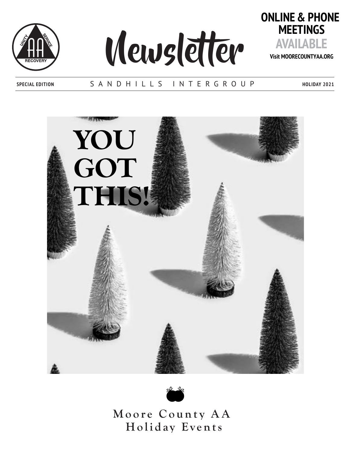





**Visit MOORECOUNTYAA.ORG**

### **SPECIAL EDITION** SANDHILLS INTERGROUP

**HOLIDAY 2021**





Moore County AA Holiday Events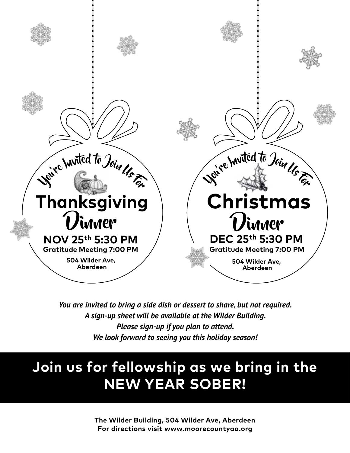

*You are invited to bring a side dish or dessert to share, but not required. A sign-up sheet will be available at the Wilder Building. Please sign-up if you plan to attend. We look forward to seeing you this holiday season!*

## **Join us for fellowship as we bring in the NEW YEAR SOBER!**

**The Wilder Building, 504 Wilder Ave, Aberdeen For directions visit www.moorecountyaa.org**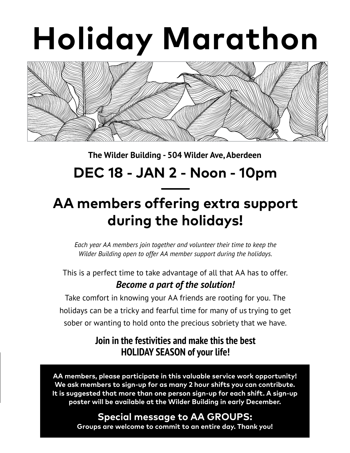# **Holiday Marathon**



### **The Wilder Building - 504 Wilder Ave, Aberdeen**

### **DEC 18 - JAN 2 - Noon - 10pm**

# **AA members offering extra support during the holidays!**

*Each year AA members join together and volunteer their time to keep the Wilder Building open to offer AA member support during the holidays.* 

This is a perfect time to take advantage of all that AA has to offer. *Become a part of the solution!*

Take comfort in knowing your AA friends are rooting for you. The holidays can be a tricky and fearful time for many of us trying to get sober or wanting to hold onto the precious sobriety that we have.

### **Join in the festivities and make this the best HOLIDAY SEASON of your life!**

**AA members, please participate in this valuable service work opportunity! We ask members to sign-up for as many 2 hour shifts you can contribute. It is suggested that more than one person sign-up for each shift. A sign-up poster will be available at the Wilder Building in early December.** 

> **Special message to AA GROUPS: Groups are welcome to commit to an entire day. Thank you!**